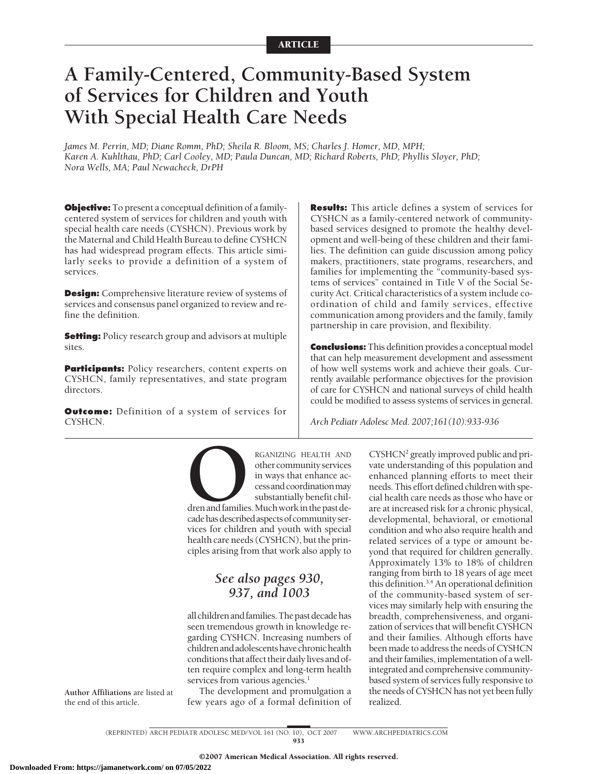# **A Family-Centered, Community-Based System of Services for Children and Youth With Special Health Care Needs**

*James M. Perrin, MD; Diane Romm, PhD; Sheila R. Bloom, MS; Charles J. Homer, MD, MPH; Karen A. Kuhlthau, PhD; Carl Cooley, MD; Paula Duncan, MD; Richard Roberts, PhD; Phyllis Sloyer, PhD; Nora Wells, MA; Paul Newacheck, DrPH*

**Objective:** To present a conceptual definition of a familycentered system of services for children and youth with special health care needs (CYSHCN). Previous work by the Maternal and Child Health Bureau to define CYSHCN has had widespread program effects. This article similarly seeks to provide a definition of a system of services.

**Design:** Comprehensive literature review of systems of services and consensus panel organized to review and refine the definition.

**Setting:** Policy research group and advisors at multiple sites.

**Participants:** Policy researchers, content experts on CYSHCN, family representatives, and state program directors.

**Outcome:** Definition of a system of services for CYSHCN.

**Results:** This article defines a system of services for CYSHCN as a family-centered network of communitybased services designed to promote the healthy development and well-being of these children and their families. The definition can guide discussion among policy makers, practitioners, state programs, researchers, and families for implementing the "community-based systems of services" contained in Title V of the Social Security Act. Critical characteristics of a system include coordination of child and family services, effective communication among providers and the family, family partnership in care provision, and flexibility.

**Conclusions:** This definition provides a conceptual model that can help measurement development and assessment of how well systems work and achieve their goals. Currently available performance objectives for the provision of care for CYSHCN and national surveys of child health could be modified to assess systems of services in general.

*Arch Pediatr Adolesc Med. 2007;161(10):933-936*

RGANIZING HEALTH AND<br>
other community services<br>
in ways that enhance ac-<br>
cess and coordination may<br>
substantially benefit chil-<br>
cade has described aspects of community serother community services in ways that enhance access and coordination may substantially benefit childrenandfamilies.Muchworkin the past decade has described aspects of community ser-

vices for children and youth with special health care needs (CYSHCN), but the principles arising from that work also apply to

# *See also pages 930, 937, and 1003*

all children and families. The past decade has seen tremendous growth in knowledge regarding CYSHCN. Increasing numbers of children and adolescents have chronic health conditions that affect their daily lives and often require complex and long-term health services from various agencies.<sup>1</sup>

The development and promulgation a few years ago of a formal definition of  $CYSHCN<sup>2</sup>$  greatly improved public and private understanding of this population and enhanced planning efforts to meet their needs. This effort defined children with special health care needs as those who have or are at increased risk for a chronic physical, developmental, behavioral, or emotional condition and who also require health and related services of a type or amount beyond that required for children generally. Approximately 13% to 18% of children ranging from birth to 18 years of age meet this definition.3,4 An operational definition of the community-based system of services may similarly help with ensuring the breadth, comprehensiveness, and organization of services that will benefit CYSHCN and their families. Although efforts have been made to address the needs of CYSHCN and their families, implementation of a wellintegrated and comprehensive communitybased system of services fully responsive to the needs of CYSHCN has not yet been fully realized.

(REPRINTED) ARCH PEDIATR ADOLESC MED/ VOL 161 (NO. 10), OCT 2007 WWW.ARCHPEDIATRICS.COM

**Author Affiliations** are listed at the end of this article.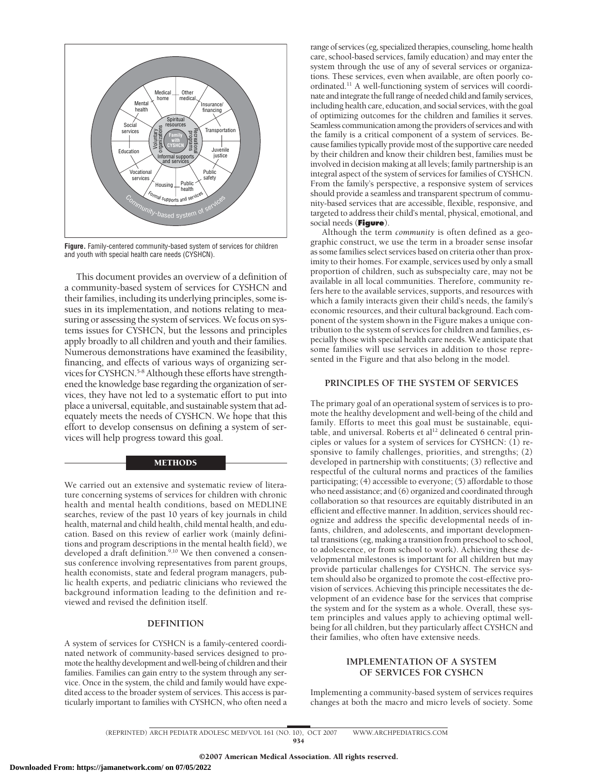

**Figure.** Family-centered community-based system of services for children and youth with special health care needs (CYSHCN).

This document provides an overview of a definition of a community-based system of services for CYSHCN and their families, including its underlying principles, some issues in its implementation, and notions relating to measuring or assessing the system of services. We focus on systems issues for CYSHCN, but the lessons and principles apply broadly to all children and youth and their families. Numerous demonstrations have examined the feasibility, financing, and effects of various ways of organizing services for CYSHCN.<sup>5-8</sup> Although these efforts have strengthened the knowledge base regarding the organization of services, they have not led to a systematic effort to put into place a universal, equitable, and sustainable system that adequately meets the needs of CYSHCN. We hope that this effort to develop consensus on defining a system of services will help progress toward this goal.

#### METHODS

We carried out an extensive and systematic review of literature concerning systems of services for children with chronic health and mental health conditions, based on MEDLINE searches, review of the past 10 years of key journals in child health, maternal and child health, child mental health, and education. Based on this review of earlier work (mainly definitions and program descriptions in the mental health field), we developed a draft definition.<sup>9,10</sup> We then convened a consensus conference involving representatives from parent groups, health economists, state and federal program managers, public health experts, and pediatric clinicians who reviewed the background information leading to the definition and reviewed and revised the definition itself.

# **DEFINITION**

A system of services for CYSHCN is a family-centered coordinated network of community-based services designed to promote the healthy development and well-being of children and their families. Families can gain entry to the system through any service. Once in the system, the child and family would have expedited access to the broader system of services. This access is particularly important to families with CYSHCN, who often need a

range of services (eg, specialized therapies, counseling, home health care, school-based services, family education) and may enter the system through the use of any of several services or organizations. These services, even when available, are often poorly coordinated.11 A well-functioning system of services will coordinate and integrate the full range of needed child and family services, including health care, education, and social services, with the goal of optimizing outcomes for the children and families it serves. Seamless communication among the providers of services and with the family is a critical component of a system of services. Because families typically provide most of the supportive care needed by their children and know their children best, families must be involved in decision making at all levels; family partnership is an integral aspect of the system of services for families of CYSHCN. From the family's perspective, a responsive system of services should provide a seamless and transparent spectrum of community-based services that are accessible, flexible, responsive, and targeted to address their child's mental, physical, emotional, and social needs (**Figure**).

Although the term *community* is often defined as a geographic construct, we use the term in a broader sense insofar as some families select services based on criteria other than proximity to their homes. For example, services used by only a small proportion of children, such as subspecialty care, may not be available in all local communities. Therefore, community refers here to the available services, supports, and resources with which a family interacts given their child's needs, the family's economic resources, and their cultural background. Each component of the system shown in the Figure makes a unique contribution to the system of services for children and families, especially those with special health care needs. We anticipate that some families will use services in addition to those represented in the Figure and that also belong in the model.

# **PRINCIPLES OF THE SYSTEM OF SERVICES**

The primary goal of an operational system of services is to promote the healthy development and well-being of the child and family. Efforts to meet this goal must be sustainable, equitable, and universal. Roberts et al<sup>12</sup> delineated 6 central principles or values for a system of services for CYSHCN: (1) responsive to family challenges, priorities, and strengths; (2) developed in partnership with constituents; (3) reflective and respectful of the cultural norms and practices of the families participating; (4) accessible to everyone; (5) affordable to those who need assistance; and (6) organized and coordinated through collaboration so that resources are equitably distributed in an efficient and effective manner. In addition, services should recognize and address the specific developmental needs of infants, children, and adolescents, and important developmental transitions (eg, making a transition from preschool to school, to adolescence, or from school to work). Achieving these developmental milestones is important for all children but may provide particular challenges for CYSHCN. The service system should also be organized to promote the cost-effective provision of services. Achieving this principle necessitates the development of an evidence base for the services that comprise the system and for the system as a whole. Overall, these system principles and values apply to achieving optimal wellbeing for all children, but they particularly affect CYSHCN and their families, who often have extensive needs.

# **IMPLEMENTATION OF A SYSTEM OF SERVICES FOR CYSHCN**

Implementing a community-based system of services requires changes at both the macro and micro levels of society. Some

(REPRINTED) ARCH PEDIATR ADOLESC MED/ VOL 161 (NO. 10), OCT 2007 WWW.ARCHPEDIATRICS.COM 934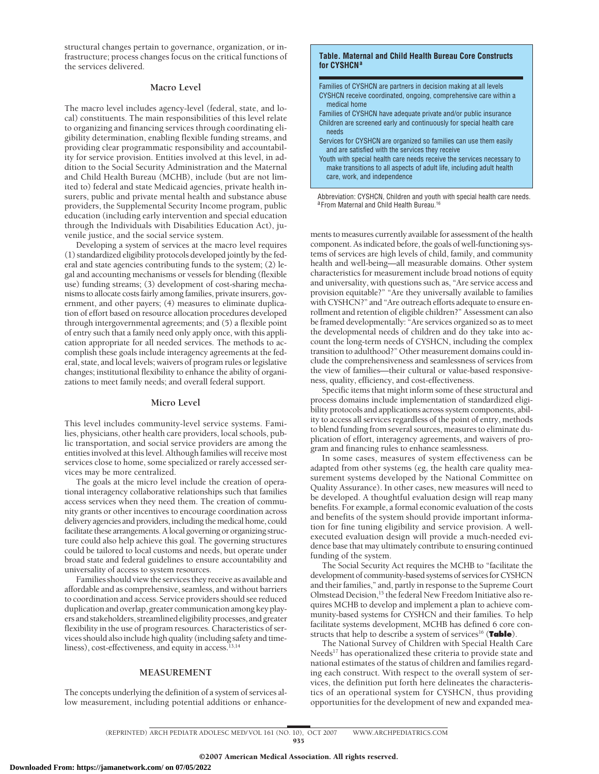structural changes pertain to governance, organization, or infrastructure; process changes focus on the critical functions of the services delivered.

# **Macro Level**

The macro level includes agency-level (federal, state, and local) constituents. The main responsibilities of this level relate to organizing and financing services through coordinating eligibility determination, enabling flexible funding streams, and providing clear programmatic responsibility and accountability for service provision. Entities involved at this level, in addition to the Social Security Administration and the Maternal and Child Health Bureau (MCHB), include (but are not limited to) federal and state Medicaid agencies, private health insurers, public and private mental health and substance abuse providers, the Supplemental Security Income program, public education (including early intervention and special education through the Individuals with Disabilities Education Act), juvenile justice, and the social service system.

Developing a system of services at the macro level requires (1) standardized eligibility protocols developed jointly by the federal and state agencies contributing funds to the system; (2) legal and accounting mechanisms or vessels for blending (flexible use) funding streams; (3) development of cost-sharing mechanisms to allocate costs fairly among families, private insurers, government, and other payers; (4) measures to eliminate duplication of effort based on resource allocation procedures developed through intergovernmental agreements; and (5) a flexible point of entry such that a family need only apply once, with this application appropriate for all needed services. The methods to accomplish these goals include interagency agreements at the federal, state, and local levels; waivers of program rules or legislative changes; institutional flexibility to enhance the ability of organizations to meet family needs; and overall federal support.

#### **Micro Level**

This level includes community-level service systems. Families, physicians, other health care providers, local schools, public transportation, and social service providers are among the entities involved at this level. Although families will receive most services close to home, some specialized or rarely accessed services may be more centralized.

The goals at the micro level include the creation of operational interagency collaborative relationships such that families access services when they need them. The creation of community grants or other incentives to encourage coordination across delivery agencies and providers, including the medical home, could facilitate these arrangements. Alocal governing or organizing structure could also help achieve this goal. The governing structures could be tailored to local customs and needs, but operate under broad state and federal guidelines to ensure accountability and universality of access to system resources.

Families should view the services they receive as available and affordable and as comprehensive, seamless, and without barriers to coordination and access. Service providers should see reduced duplication and overlap, greater communication among key players and stakeholders, streamlined eligibility processes, and greater flexibility in the use of program resources. Characteristics of services should also include high quality (including safety and timeliness), cost-effectiveness, and equity in access.<sup>13,14</sup>

#### **MEASUREMENT**

The concepts underlying the definition of a system of services allow measurement, including potential additions or enhance-

#### **Table. Maternal and Child Health Bureau Core Constructs for CYSHCN<sup>a</sup>**

- Families of CYSHCN are partners in decision making at all levels CYSHCN receive coordinated, ongoing, comprehensive care within a medical home Families of CYSHCN have adequate private and/or public insurance
- Children are screened early and continuously for special health care needs
- Services for CYSHCN are organized so families can use them easily and are satisfied with the services they receive
- Youth with special health care needs receive the services necessary to make transitions to all aspects of adult life, including adult health care, work, and independence

Abbreviation: CYSHCN, Children and youth with special health care needs. a From Maternal and Child Health Bureau.<sup>16</sup>

ments to measures currently available for assessment of the health component. As indicated before, the goals of well-functioning systems of services are high levels of child, family, and community health and well-being—all measurable domains. Other system characteristics for measurement include broad notions of equity and universality, with questions such as, "Are service access and provision equitable?" "Are they universally available to families with CYSHCN?" and "Are outreach efforts adequate to ensure enrollment and retention of eligible children?" Assessment can also be framed developmentally: "Are services organized so as to meet the developmental needs of children and do they take into account the long-term needs of CYSHCN, including the complex transition to adulthood?" Other measurement domains could include the comprehensiveness and seamlessness of services from the view of families—their cultural or value-based responsiveness, quality, efficiency, and cost-effectiveness.

Specific items that might inform some of these structural and process domains include implementation of standardized eligibility protocols and applications across system components, ability to access all services regardless of the point of entry, methods to blend funding from several sources, measures to eliminate duplication of effort, interagency agreements, and waivers of program and financing rules to enhance seamlessness.

In some cases, measures of system effectiveness can be adapted from other systems (eg, the health care quality measurement systems developed by the National Committee on Quality Assurance). In other cases, new measures will need to be developed. A thoughtful evaluation design will reap many benefits. For example, a formal economic evaluation of the costs and benefits of the system should provide important information for fine tuning eligibility and service provision. A wellexecuted evaluation design will provide a much-needed evidence base that may ultimately contribute to ensuring continued funding of the system.

The Social Security Act requires the MCHB to "facilitate the development of community-based systems of services for CYSHCN and their families," and, partly in response to the Supreme Court Olmstead Decision,<sup>15</sup> the federal New Freedom Initiative also requires MCHB to develop and implement a plan to achieve community-based systems for CYSHCN and their families. To help facilitate systems development, MCHB has defined 6 core constructs that help to describe a system of services<sup>16</sup> (Table).

The National Survey of Children with Special Health Care Needs<sup>17</sup> has operationalized these criteria to provide state and national estimates of the status of children and families regarding each construct. With respect to the overall system of services, the definition put forth here delineates the characteristics of an operational system for CYSHCN, thus providing opportunities for the development of new and expanded mea-

(REPRINTED) ARCH PEDIATR ADOLESC MED/ VOL 161 (NO. 10), OCT 2007 WWW.ARCHPEDIATRICS.COM 935